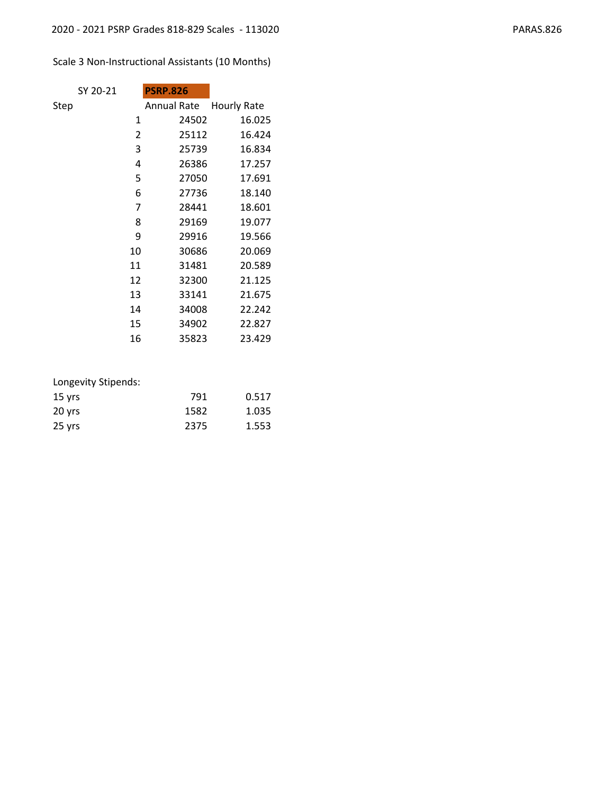# Scale 3 Non-Instructional Assistants (10 Months)

|      | SY 20-21 |    | <b>PSRP.826</b>    |       |             |  |
|------|----------|----|--------------------|-------|-------------|--|
| Step |          |    | <b>Annual Rate</b> |       | Hourly Rate |  |
|      |          | 1  |                    | 24502 | 16.025      |  |
|      |          | 2  |                    | 25112 | 16.424      |  |
|      |          | 3  |                    | 25739 | 16.834      |  |
|      |          | 4  |                    | 26386 | 17.257      |  |
|      |          | 5  |                    | 27050 | 17.691      |  |
|      |          | 6  |                    | 27736 | 18.140      |  |
|      |          | 7  |                    | 28441 | 18.601      |  |
|      |          | 8  |                    | 29169 | 19.077      |  |
|      |          | 9  |                    | 29916 | 19.566      |  |
|      |          | 10 |                    | 30686 | 20.069      |  |
|      |          | 11 |                    | 31481 | 20.589      |  |
|      |          | 12 |                    | 32300 | 21.125      |  |
|      |          | 13 |                    | 33141 | 21.675      |  |
|      |          | 14 |                    | 34008 | 22.242      |  |
|      |          | 15 |                    | 34902 | 22.827      |  |
|      |          | 16 |                    | 35823 | 23.429      |  |
|      |          |    |                    |       |             |  |

| $15$ yrs | 791  | 0.517 |
|----------|------|-------|
| 20 yrs   | 1582 | 1.035 |
| 25 yrs   | 2375 | 1.553 |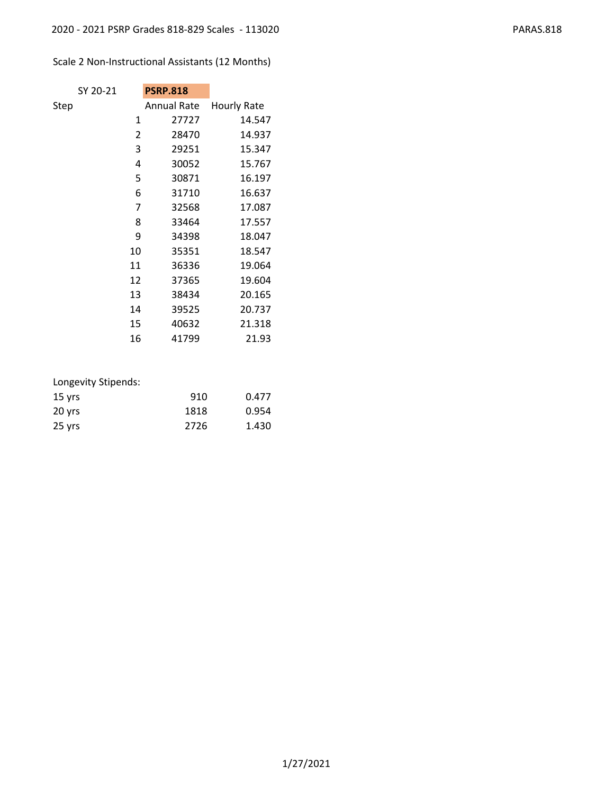# Scale 2 Non-Instructional Assistants (12 Months)

|      | SY 20-21 | <b>PSRP.818</b> |                    |
|------|----------|-----------------|--------------------|
| Step |          | Annual Rate     | <b>Hourly Rate</b> |
|      | 1        | 27727           | 14.547             |
|      | 2        | 28470           | 14.937             |
|      | 3        | 29251           | 15.347             |
|      | 4        | 30052           | 15.767             |
|      | 5        | 30871           | 16.197             |
|      | 6        | 31710           | 16.637             |
|      | 7        | 32568           | 17.087             |
|      | 8        | 33464           | 17.557             |
|      | 9        | 34398           | 18.047             |
|      | 10       | 35351           | 18.547             |
|      | 11       | 36336           | 19.064             |
|      | 12       | 37365           | 19.604             |
|      | 13       | 38434           | 20.165             |
|      | 14       | 39525           | 20.737             |
|      | 15       | 40632           | 21.318             |
|      | 16       | 41799           | 21.93              |

| $15$ yrs | 910  | 0.477 |
|----------|------|-------|
| $20$ yrs | 1818 | 0.954 |
| 25 yrs   | 2726 | 1.430 |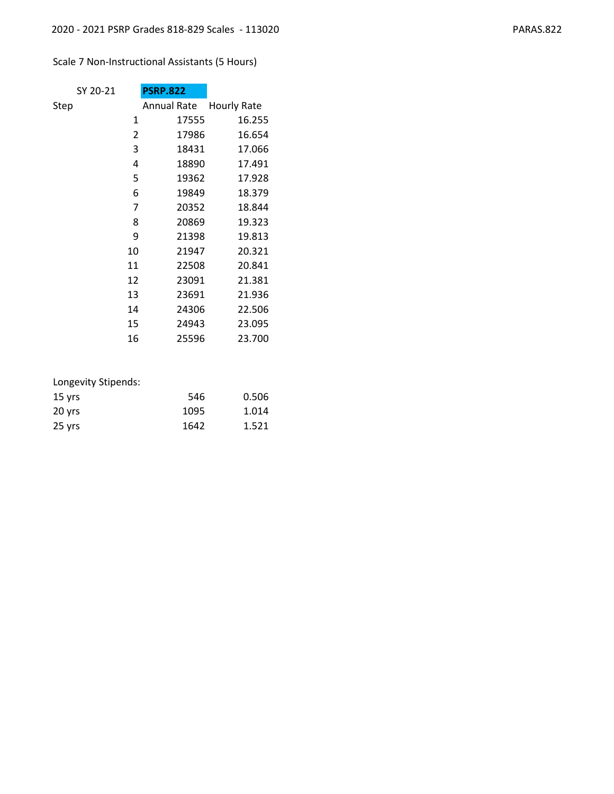## Scale 7 Non-Instructional Assistants (5 Hours)

| SY 20-21 |    | <b>PSRP.822</b>    |                    |
|----------|----|--------------------|--------------------|
| Step     |    | <b>Annual Rate</b> | <b>Hourly Rate</b> |
|          | 1  | 17555              | 16.255             |
|          | 2  | 17986              | 16.654             |
|          | 3  | 18431              | 17.066             |
|          | 4  | 18890              | 17.491             |
|          | 5  | 19362              | 17.928             |
|          | 6  | 19849              | 18.379             |
|          | 7  | 20352              | 18.844             |
|          | 8  | 20869              | 19.323             |
|          | 9  | 21398              | 19.813             |
|          | 10 | 21947              | 20.321             |
|          | 11 | 22508              | 20.841             |
|          | 12 | 23091              | 21.381             |
|          | 13 | 23691              | 21.936             |
|          | 14 | 24306              | 22.506             |
|          | 15 | 24943              | 23.095             |
|          | 16 | 25596              | 23.700             |

| 15 yrs | 546  | 0.506 |
|--------|------|-------|
| 20 yrs | 1095 | 1.014 |
| 25 yrs | 1642 | 1.521 |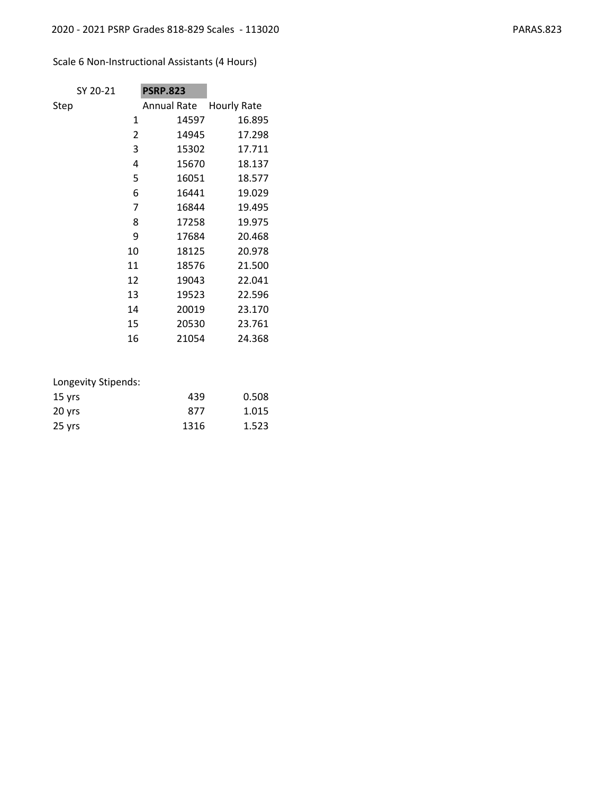## Scale 6 Non-Instructional Assistants (4 Hours)

| SY 20-21 | <b>PSRP.823</b>    |                    |
|----------|--------------------|--------------------|
| Step     | <b>Annual Rate</b> | <b>Hourly Rate</b> |
| 1        | 14597              | 16.895             |
| 2        | 14945              | 17.298             |
| 3        | 15302              | 17.711             |
| 4        | 15670              | 18.137             |
| 5        | 16051              | 18.577             |
| 6        | 16441              | 19.029             |
| 7        | 16844              | 19.495             |
| 8        | 17258              | 19.975             |
| 9        | 17684              | 20.468             |
| 10       | 18125              | 20.978             |
| 11       | 18576              | 21.500             |
| 12       | 19043              | 22.041             |
| 13       | 19523              | 22.596             |
| 14       | 20019              | 23.170             |
| 15       | 20530              | 23.761             |
| 16       | 21054              | 24.368             |

| $15$ yrs | 439  | 0.508 |
|----------|------|-------|
| 20 yrs   | 877  | 1.015 |
| 25 yrs   | 1316 | 1.523 |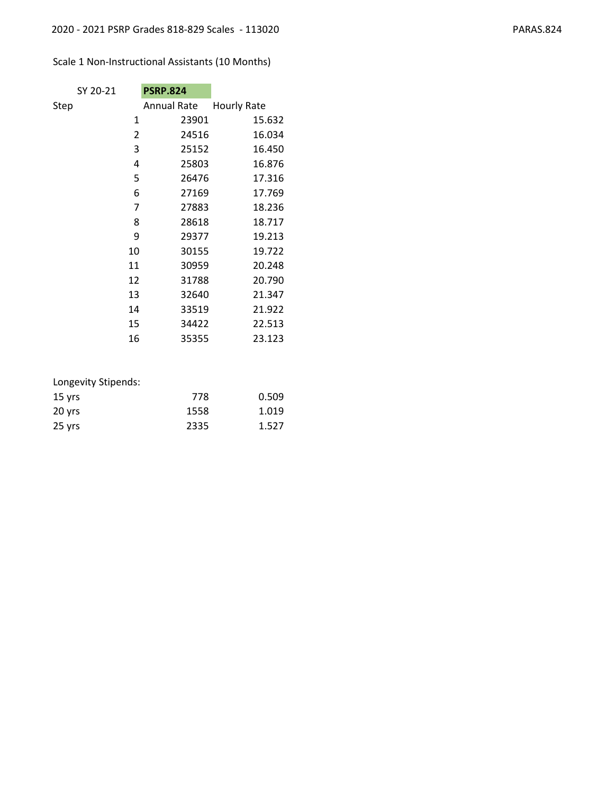# Scale 1 Non-Instructional Assistants (10 Months)

| SY 20-21 | <b>PSRP.824</b> |                    |
|----------|-----------------|--------------------|
| Step     | Annual Rate     | <b>Hourly Rate</b> |
| 1        | 23901           | 15.632             |
| 2        | 24516           | 16.034             |
| 3        | 25152           | 16.450             |
| 4        | 25803           | 16.876             |
| 5        | 26476           | 17.316             |
| 6        | 27169           | 17.769             |
| 7        | 27883           | 18.236             |
| 8        | 28618           | 18.717             |
| 9        | 29377           | 19.213             |
| 10       | 30155           | 19.722             |
| 11       | 30959           | 20.248             |
| 12       | 31788           | 20.790             |
| 13       | 32640           | 21.347             |
| 14       | 33519           | 21.922             |
| 15       | 34422           | 22.513             |
| 16       | 35355           | 23.123             |
|          |                 |                    |

| Longevity Stipends: |  |
|---------------------|--|
|---------------------|--|

| $15$ yrs | 778  | 0.509 |
|----------|------|-------|
| 20 yrs   | 1558 | 1.019 |
| 25 yrs   | 2335 | 1.527 |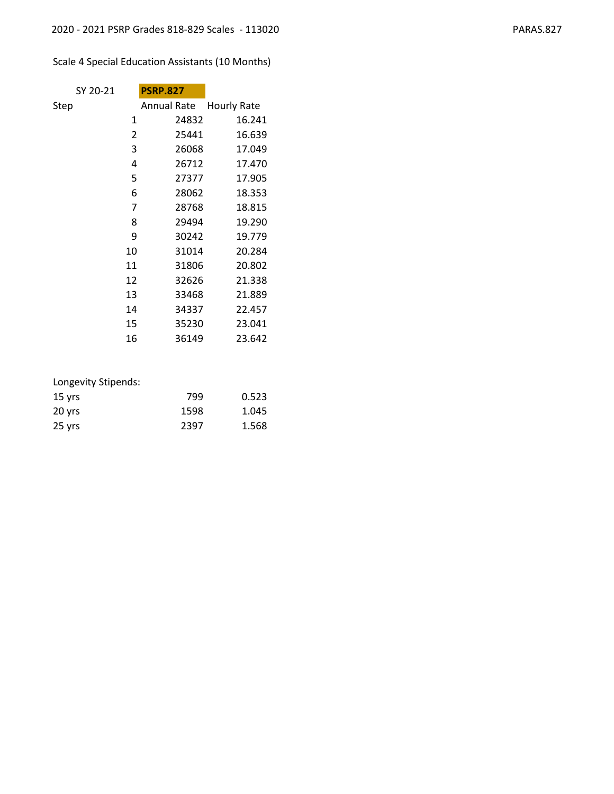# Scale 4 Special Education Assistants (10 Months)

| SY 20-21 | <b>PSRP.827</b>    |             |
|----------|--------------------|-------------|
| Step     | <b>Annual Rate</b> | Hourly Rate |
| 1        | 24832              | 16.241      |
| 2        | 25441              | 16.639      |
| 3        | 26068              | 17.049      |
| 4        | 26712              | 17.470      |
| 5        | 27377              | 17.905      |
| 6        | 28062              | 18.353      |
| 7        | 28768              | 18.815      |
| 8        | 29494              | 19.290      |
| 9        | 30242              | 19.779      |
| 10       | 31014              | 20.284      |
| 11       | 31806              | 20.802      |
| 12       | 32626              | 21.338      |
| 13       | 33468              | 21.889      |
| 14       | 34337              | 22.457      |
| 15       | 35230              | 23.041      |
| 16       | 36149              | 23.642      |

| Longevity Stipends: |      |       |
|---------------------|------|-------|
| $15$ yrs            | 799  | 0.523 |
| 20 yrs              | 1598 | 1.045 |
| 25 yrs              | 2397 | 1.568 |